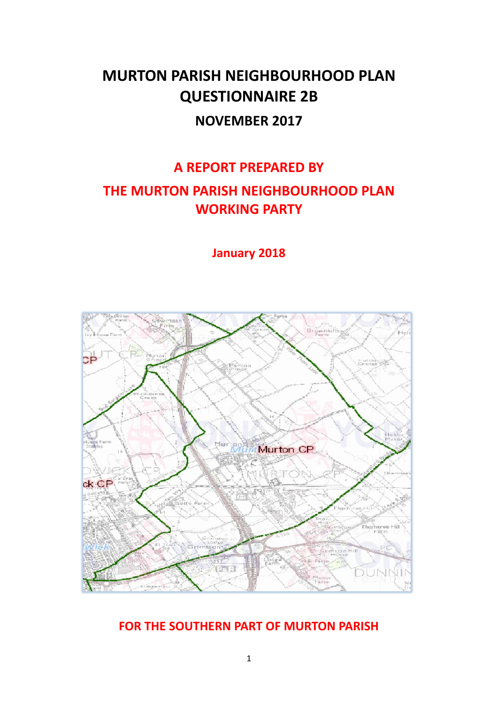# **MURTON PARISH NEIGHBOURHOOD PLAN QUESTIONNAIRE 2B NOVEMBER 2017**

# **A REPORT PREPARED BY THE MURTON PARISH NEIGHBOURHOOD PLAN WORKING PARTY**

**January 2018**



## **FOR THE SOUTHERN PART OF MURTON PARISH**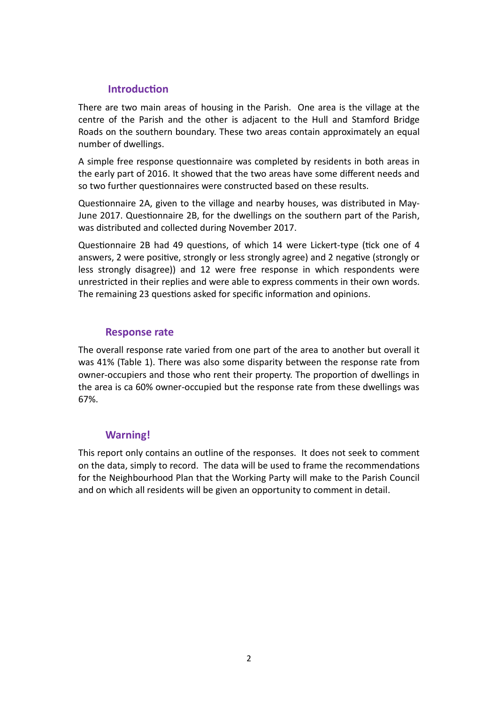#### **Introduction**

There are two main areas of housing in the Parish. One area is the village at the centre of the Parish and the other is adjacent to the Hull and Stamford Bridge Roads on the southern boundary. These two areas contain approximately an equal number of dwellings.

A simple free response questionnaire was completed by residents in both areas in the early part of 2016. It showed that the two areas have some different needs and so two further questionnaires were constructed based on these results.

Questionnaire 2A, given to the village and nearby houses, was distributed in May-June 2017. Questionnaire 2B, for the dwellings on the southern part of the Parish, was distributed and collected during November 2017.

Questionnaire 2B had 49 questions, of which 14 were Lickert-type (tick one of 4 answers, 2 were positive, strongly or less strongly agree) and 2 negative (strongly or less strongly disagree)) and 12 were free response in which respondents were unrestricted in their replies and were able to express comments in their own words. The remaining 23 questions asked for specific information and opinions.

#### **Response rate**

The overall response rate varied from one part of the area to another but overall it was 41% (Table 1). There was also some disparity between the response rate from owner-occupiers and those who rent their property. The proportion of dwellings in the area is ca 60% owner-occupied but the response rate from these dwellings was 67%.

#### **Warning!**

This report only contains an outline of the responses. It does not seek to comment on the data, simply to record. The data will be used to frame the recommendations for the Neighbourhood Plan that the Working Party will make to the Parish Council and on which all residents will be given an opportunity to comment in detail.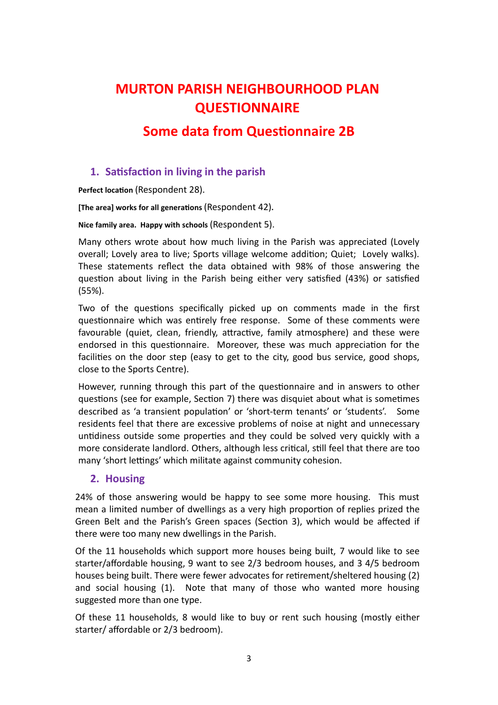# **MURTON PARISH NEIGHBOURHOOD PLAN QUESTIONNAIRE**

## **Some data from Questionnaire 2B**

### **1. Satisfaction in living in the parish**

**Perfect location** (Respondent 28).

**[The area] works for all generations** (Respondent 42)**.** 

**Nice family area. Happy with schools** (Respondent 5).

Many others wrote about how much living in the Parish was appreciated (Lovely overall; Lovely area to live; Sports village welcome addition; Quiet; Lovely walks). These statements reflect the data obtained with 98% of those answering the question about living in the Parish being either very satisfied (43%) or satisfied (55%).

Two of the questions specifically picked up on comments made in the first questionnaire which was entirely free response. Some of these comments were favourable (quiet, clean, friendly, attractive, family atmosphere) and these were endorsed in this questionnaire. Moreover, these was much appreciation for the facilities on the door step (easy to get to the city, good bus service, good shops, close to the Sports Centre).

However, running through this part of the questionnaire and in answers to other questions (see for example, Section 7) there was disquiet about what is sometimes described as 'a transient population' or 'short-term tenants' or 'students'. Some residents feel that there are excessive problems of noise at night and unnecessary untidiness outside some properties and they could be solved very quickly with a more considerate landlord. Others, although less critical, still feel that there are too many 'short lettings' which militate against community cohesion.

#### **2. Housing**

24% of those answering would be happy to see some more housing. This must mean a limited number of dwellings as a very high proportion of replies prized the Green Belt and the Parish's Green spaces (Section 3), which would be affected if there were too many new dwellings in the Parish.

Of the 11 households which support more houses being built, 7 would like to see starter/affordable housing, 9 want to see 2/3 bedroom houses, and 3 4/5 bedroom houses being built. There were fewer advocates for retirement/sheltered housing (2) and social housing (1). Note that many of those who wanted more housing suggested more than one type.

Of these 11 households, 8 would like to buy or rent such housing (mostly either starter/ affordable or 2/3 bedroom).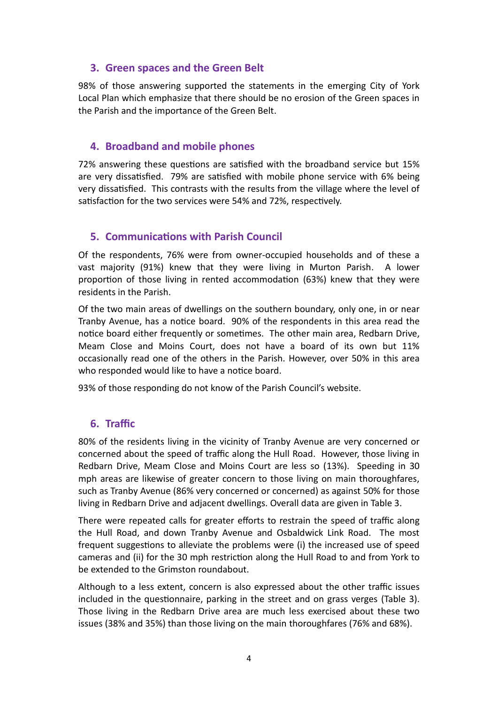### **3. Green spaces and the Green Belt**

98% of those answering supported the statements in the emerging City of York Local Plan which emphasize that there should be no erosion of the Green spaces in the Parish and the importance of the Green Belt.

### **4. Broadband and mobile phones**

72% answering these questions are satisfied with the broadband service but 15% are very dissatisfied. 79% are satisfied with mobile phone service with 6% being very dissatisfied. This contrasts with the results from the village where the level of satisfaction for the two services were 54% and 72%, respectively.

### **5. Communications with Parish Council**

Of the respondents, 76% were from owner-occupied households and of these a vast majority (91%) knew that they were living in Murton Parish. A lower proportion of those living in rented accommodation (63%) knew that they were residents in the Parish.

Of the two main areas of dwellings on the southern boundary, only one, in or near Tranby Avenue, has a notice board. 90% of the respondents in this area read the notice board either frequently or sometimes. The other main area, Redbarn Drive, Meam Close and Moins Court, does not have a board of its own but 11% occasionally read one of the others in the Parish. However, over 50% in this area who responded would like to have a notice board.

93% of those responding do not know of the Parish Council's website.

#### **6. Traffic**

80% of the residents living in the vicinity of Tranby Avenue are very concerned or concerned about the speed of traffic along the Hull Road. However, those living in Redbarn Drive, Meam Close and Moins Court are less so (13%). Speeding in 30 mph areas are likewise of greater concern to those living on main thoroughfares, such as Tranby Avenue (86% very concerned or concerned) as against 50% for those living in Redbarn Drive and adjacent dwellings. Overall data are given in Table 3.

There were repeated calls for greater efforts to restrain the speed of traffic along the Hull Road, and down Tranby Avenue and Osbaldwick Link Road. The most frequent suggestions to alleviate the problems were (i) the increased use of speed cameras and (ii) for the 30 mph restriction along the Hull Road to and from York to be extended to the Grimston roundabout.

Although to a less extent, concern is also expressed about the other traffic issues included in the questionnaire, parking in the street and on grass verges (Table 3). Those living in the Redbarn Drive area are much less exercised about these two issues (38% and 35%) than those living on the main thoroughfares (76% and 68%).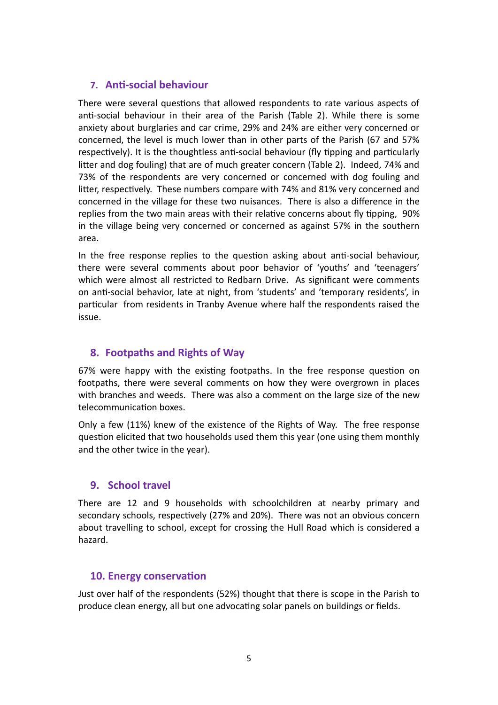#### **7. Anti-social behaviour**

There were several questions that allowed respondents to rate various aspects of anti-social behaviour in their area of the Parish (Table 2). While there is some anxiety about burglaries and car crime, 29% and 24% are either very concerned or concerned, the level is much lower than in other parts of the Parish (67 and 57% respectively). It is the thoughtless anti-social behaviour (fly tipping and particularly litter and dog fouling) that are of much greater concern (Table 2). Indeed, 74% and 73% of the respondents are very concerned or concerned with dog fouling and litter, respectively. These numbers compare with 74% and 81% very concerned and concerned in the village for these two nuisances. There is also a difference in the replies from the two main areas with their relative concerns about fly tipping, 90% in the village being very concerned or concerned as against 57% in the southern area.

In the free response replies to the question asking about anti-social behaviour, there were several comments about poor behavior of 'youths' and 'teenagers' which were almost all restricted to Redbarn Drive. As significant were comments on anti-social behavior, late at night, from 'students' and 'temporary residents', in particular from residents in Tranby Avenue where half the respondents raised the issue.

### **8. Footpaths and Rights of Way**

67% were happy with the existing footpaths. In the free response question on footpaths, there were several comments on how they were overgrown in places with branches and weeds. There was also a comment on the large size of the new telecommunication boxes.

Only a few (11%) knew of the existence of the Rights of Way. The free response question elicited that two households used them this year (one using them monthly and the other twice in the year).

#### **9. School travel**

There are 12 and 9 households with schoolchildren at nearby primary and secondary schools, respectively (27% and 20%). There was not an obvious concern about travelling to school, except for crossing the Hull Road which is considered a hazard.

#### **10. Energy conservation**

Just over half of the respondents (52%) thought that there is scope in the Parish to produce clean energy, all but one advocating solar panels on buildings or fields.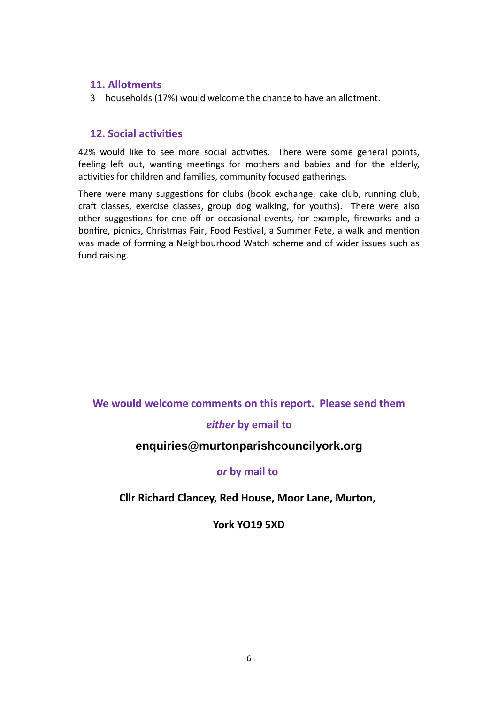#### **11. Allotments**

3 households (17%) would welcome the chance to have an allotment.

#### **12. Social activities**

42% would like to see more social activities. There were some general points, feeling left out, wanting meetings for mothers and babies and for the elderly, activities for children and families, community focused gatherings.

There were many suggestions for clubs (book exchange, cake club, running club, craft classes, exercise classes, group dog walking, for youths). There were also other suggestions for one-off or occasional events, for example, fireworks and a bonfire, picnics, Christmas Fair, Food Festival, a Summer Fete, a walk and mention was made of forming a Neighbourhood Watch scheme and of wider issues such as fund raising.

#### **We would welcome comments on this report. Please send them**

#### *either* **by email to**

### **enquiries@murtonparishcouncilyork.org**

#### *or* **by mail to**

#### **Cllr Richard Clancey, Red House, Moor Lane, Murton,**

#### **York YO19 5XD**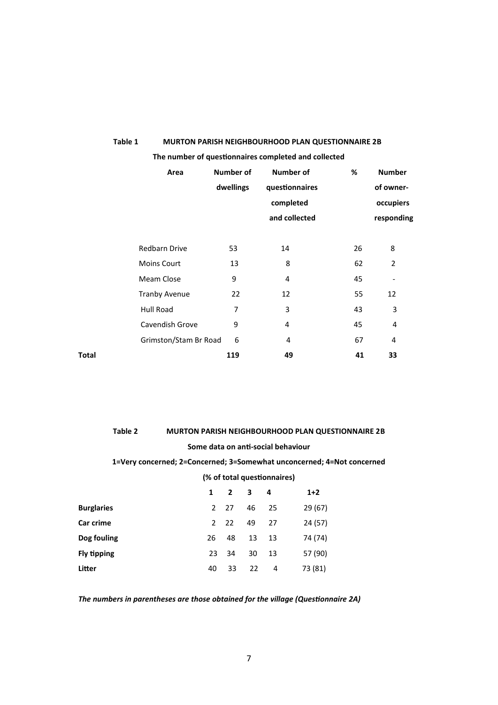|              |                       |           | The number of questionnaires completed and collected |    |                              |  |
|--------------|-----------------------|-----------|------------------------------------------------------|----|------------------------------|--|
|              | Area                  | Number of | Number of                                            | %  | <b>Number</b>                |  |
|              |                       | dwellings | questionnaires                                       |    | of owner-<br>occupiers       |  |
|              |                       |           | completed                                            |    |                              |  |
|              |                       |           | and collected                                        |    | responding                   |  |
|              |                       |           |                                                      |    |                              |  |
|              | <b>Redbarn Drive</b>  | 53        | 14                                                   | 26 | 8                            |  |
|              | <b>Moins Court</b>    | 13        | 8                                                    | 62 | $\overline{2}$               |  |
|              | Meam Close            | 9         | 4                                                    | 45 | $\qquad \qquad \blacksquare$ |  |
|              | <b>Tranby Avenue</b>  | 22        | 12                                                   | 55 | 12                           |  |
|              | Hull Road             | 7         | 3                                                    | 43 | 3                            |  |
|              | Cavendish Grove       | 9         | 4                                                    | 45 | 4                            |  |
|              | Grimston/Stam Br Road | 6         | 4                                                    | 67 | 4                            |  |
| <b>Total</b> |                       | 119       | 49                                                   | 41 | 33                           |  |

**Table 1 MURTON PARISH NEIGHBOURHOOD PLAN QUESTIONNAIRE 2B**

| Table 2                                                                |                                    | <b>MURTON PARISH NEIGHBOURHOOD PLAN QUESTIONNAIRE 2B</b> |               |                         |             |     |         |  |  |
|------------------------------------------------------------------------|------------------------------------|----------------------------------------------------------|---------------|-------------------------|-------------|-----|---------|--|--|
|                                                                        | Some data on anti-social behaviour |                                                          |               |                         |             |     |         |  |  |
| 1=Very concerned; 2=Concerned; 3=Somewhat unconcerned; 4=Not concerned |                                    |                                                          |               |                         |             |     |         |  |  |
| (% of total questionnaires)                                            |                                    |                                                          |               |                         |             |     |         |  |  |
|                                                                        |                                    |                                                          |               | $\overline{\mathbf{z}}$ | $3 \quad 4$ |     | $1+2$   |  |  |
| <b>Burglaries</b>                                                      |                                    |                                                          | $\mathcal{P}$ | 27                      | 46          | 25  | 29 (67) |  |  |
| Car crime                                                              |                                    |                                                          | $\mathcal{P}$ | 22                      | 49          | 27  | 24 (57) |  |  |
| Dog fouling                                                            |                                    | 26                                                       |               | 48                      | 13          | -13 | 74 (74) |  |  |
|                                                                        |                                    |                                                          |               |                         |             |     |         |  |  |

#### *The numbers in parentheses are those obtained for the village (Questionnaire 2A)*

**Fly tipping** 23 34 30 13 57 (90) **Litter 40** 33 22 4 73 (81)